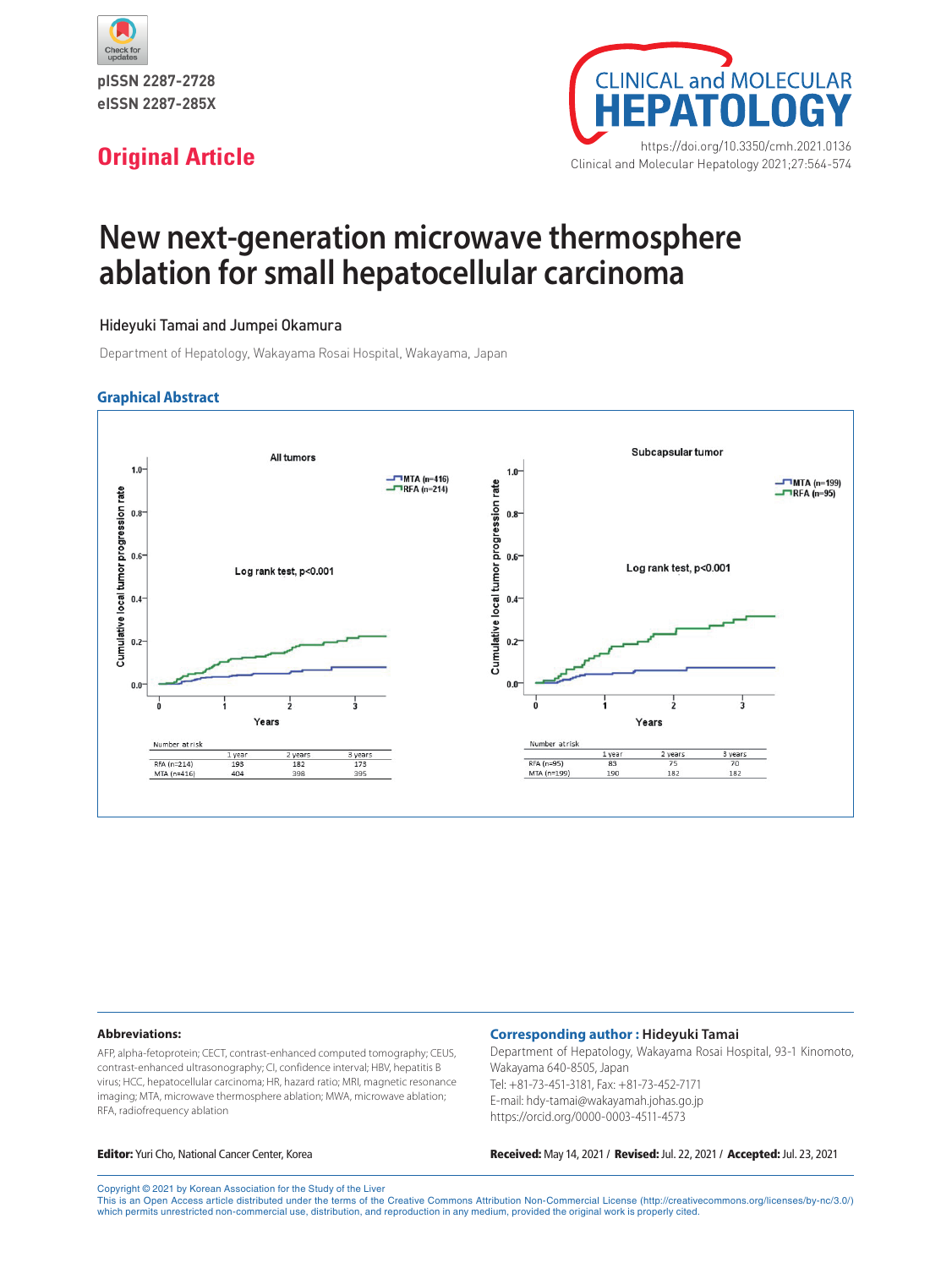



# **New next-generation microwave thermosphere ablation for small hepatocellular carcinoma**

#### Hideyuki Tamai and Jumpei Okamura

Department of Hepatology, Wakayama Rosai Hospital, Wakayama, Japan

#### **Graphical Abstract**



#### **Abbreviations:**

AFP, alpha-fetoprotein; CECT, contrast-enhanced computed tomography; CEUS, contrast-enhanced ultrasonography; CI, confidence interval; HBV, hepatitis B virus; HCC, hepatocellular carcinoma; HR, hazard ratio; MRI, magnetic resonance imaging; MTA, microwave thermosphere ablation; MWA, microwave ablation; RFA, radiofrequency ablation

#### **Corresponding author : Hideyuki Tamai**

Department of Hepatology, Wakayama Rosai Hospital, 93-1 Kinomoto, Wakayama 640-8505, Japan Tel: +81-73-451-3181, Fax: +81-73-452-7171 E-mail: hdy-tamai@wakayamah.johas.go.jp https://orcid.org/0000-0003-4511-4573

Editor: Yuri Cho, National Cancer Center, Korea Received: May 14, 2021 / Revised: Jul. 22, 2021 / Accepted: Jul. 23, 2021

Copyright © 2021 by Korean Association for the Study of the Liver This is an Open Access article distributed under the terms of the Creative Commons Attribution Non-Commercial License (http://creativecommons.org/licenses/by-nc/3.0/) which permits unrestricted non-commercial use, distribution, and reproduction in any medium, provided the original work is properly cited.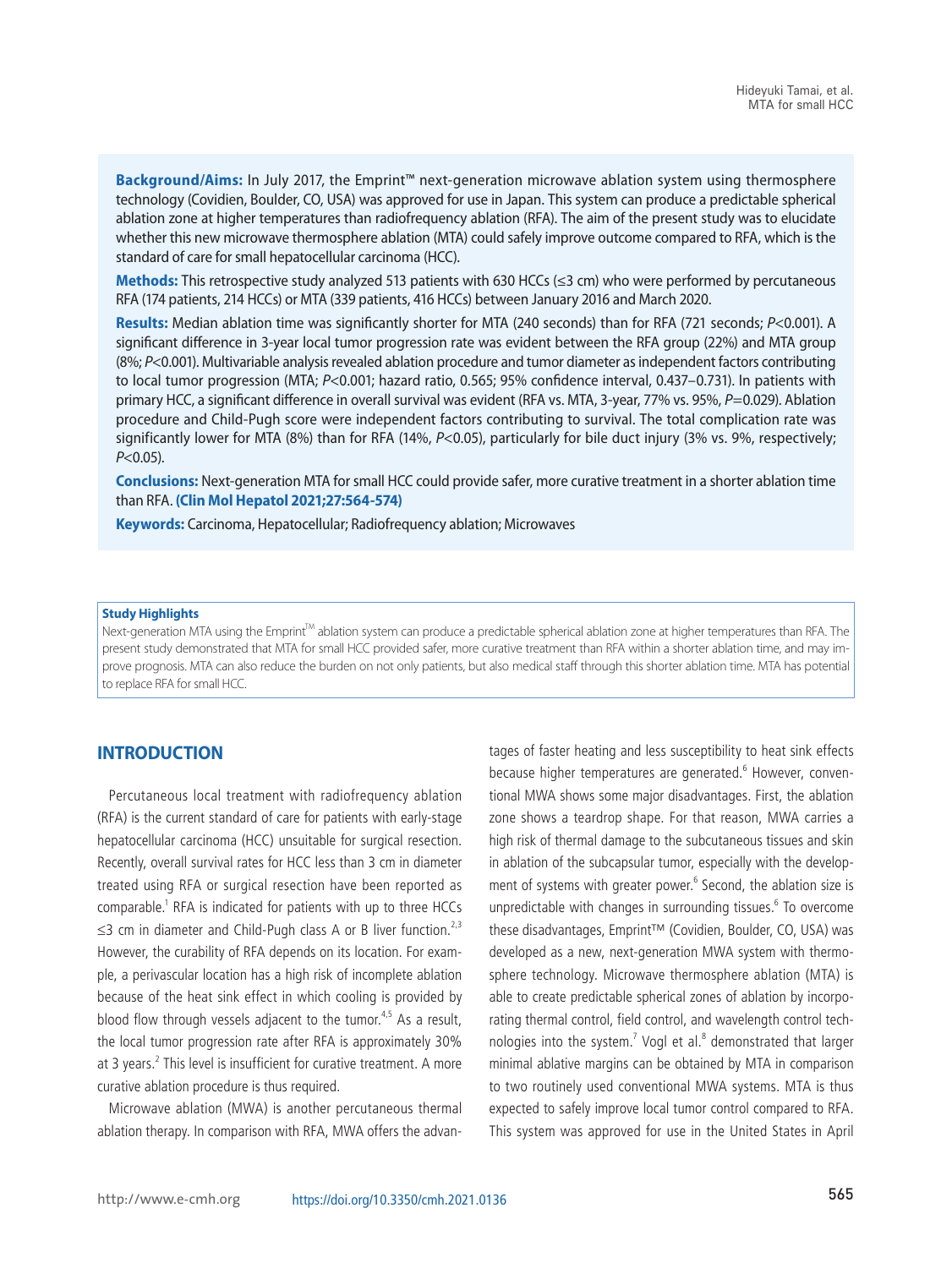**Background/Aims:** In July 2017, the Emprint™ next-generation microwave ablation system using thermosphere technology (Covidien, Boulder, CO, USA) was approved for use in Japan. This system can produce a predictable spherical ablation zone at higher temperatures than radiofrequency ablation (RFA). The aim of the present study was to elucidate whether this new microwave thermosphere ablation (MTA) could safely improve outcome compared to RFA, which is the standard of care for small hepatocellular carcinoma (HCC).

**Methods:** This retrospective study analyzed 513 patients with 630 HCCs (≤3 cm) who were performed by percutaneous RFA (174 patients, 214 HCCs) or MTA (339 patients, 416 HCCs) between January 2016 and March 2020.

**Results:** Median ablation time was significantly shorter for MTA (240 seconds) than for RFA (721 seconds; *P*<0.001). A significant difference in 3-year local tumor progression rate was evident between the RFA group (22%) and MTA group (8%; *P*<0.001). Multivariable analysis revealed ablation procedure and tumor diameter as independent factors contributing to local tumor progression (MTA; *P*<0.001; hazard ratio, 0.565; 95% confidence interval, 0.437–0.731). In patients with primary HCC, a significant difference in overall survival was evident (RFA vs. MTA, 3-year, 77% vs. 95%, *P*=0.029). Ablation procedure and Child-Pugh score were independent factors contributing to survival. The total complication rate was significantly lower for MTA (8%) than for RFA (14%, *P<0.05*), particularly for bile duct injury (3% vs. 9%, respectively; *P*<0.05).

**Conclusions:** Next-generation MTA for small HCC could provide safer, more curative treatment in a shorter ablation time than RFA. **(Clin Mol Hepatol 2021;27:564-574)**

**Keywords:** Carcinoma, Hepatocellular; Radiofrequency ablation; Microwaves

#### **Study Highlights**

Next-generation MTA using the Emprint™ ablation system can produce a predictable spherical ablation zone at higher temperatures than RFA. The present study demonstrated that MTA for small HCC provided safer, more curative treatment than RFA within a shorter ablation time, and may improve prognosis. MTA can also reduce the burden on not only patients, but also medical staff through this shorter ablation time. MTA has potential to replace RFA for small HCC.

#### **INTRODUCTION**

Percutaneous local treatment with radiofrequency ablation (RFA) is the current standard of care for patients with early-stage hepatocellular carcinoma (HCC) unsuitable for surgical resection. Recently, overall survival rates for HCC less than 3 cm in diameter treated using RFA or surgical resection have been reported as comparable.<sup>1</sup> RFA is indicated for patients with up to three HCCs ≤3 cm in diameter and Child-Pugh class A or B liver function.<sup>2,3</sup> However, the curability of RFA depends on its location. For example, a perivascular location has a high risk of incomplete ablation because of the heat sink effect in which cooling is provided by blood flow through vessels adjacent to the tumor.<sup>4,5</sup> As a result, the local tumor progression rate after RFA is approximately 30% at 3 years.<sup>2</sup> This level is insufficient for curative treatment. A more curative ablation procedure is thus required.

Microwave ablation (MWA) is another percutaneous thermal ablation therapy. In comparison with RFA, MWA offers the advantages of faster heating and less susceptibility to heat sink effects because higher temperatures are generated.<sup>6</sup> However, conventional MWA shows some major disadvantages. First, the ablation zone shows a teardrop shape. For that reason, MWA carries a high risk of thermal damage to the subcutaneous tissues and skin in ablation of the subcapsular tumor, especially with the development of systems with greater power.<sup>6</sup> Second, the ablation size is unpredictable with changes in surrounding tissues.<sup>6</sup> To overcome these disadvantages, Emprint™ (Covidien, Boulder, CO, USA) was developed as a new, next-generation MWA system with thermosphere technology. Microwave thermosphere ablation (MTA) is able to create predictable spherical zones of ablation by incorporating thermal control, field control, and wavelength control technologies into the system.<sup>7</sup> Vogl et al. $^8$  demonstrated that larger minimal ablative margins can be obtained by MTA in comparison to two routinely used conventional MWA systems. MTA is thus expected to safely improve local tumor control compared to RFA. This system was approved for use in the United States in April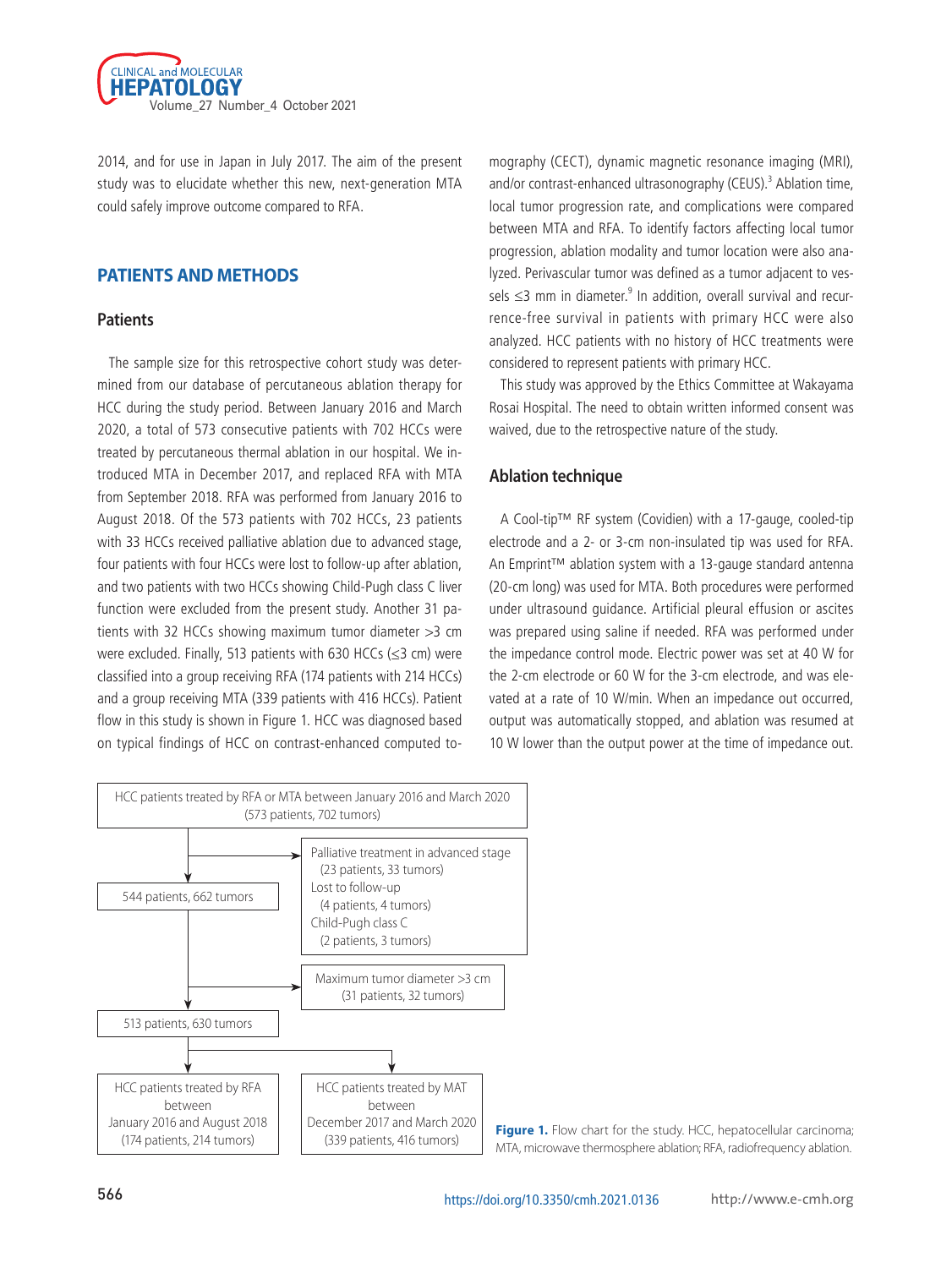

2014, and for use in Japan in July 2017. The aim of the present study was to elucidate whether this new, next-generation MTA could safely improve outcome compared to RFA.

#### **PATIENTS AND METHODS**

#### **Patients**

The sample size for this retrospective cohort study was determined from our database of percutaneous ablation therapy for HCC during the study period. Between January 2016 and March 2020, a total of 573 consecutive patients with 702 HCCs were treated by percutaneous thermal ablation in our hospital. We introduced MTA in December 2017, and replaced RFA with MTA from September 2018. RFA was performed from January 2016 to August 2018. Of the 573 patients with 702 HCCs, 23 patients with 33 HCCs received palliative ablation due to advanced stage, four patients with four HCCs were lost to follow-up after ablation, and two patients with two HCCs showing Child-Pugh class C liver function were excluded from the present study. Another 31 patients with 32 HCCs showing maximum tumor diameter >3 cm were excluded. Finally, 513 patients with 630 HCCs (≤3 cm) were classified into a group receiving RFA (174 patients with 214 HCCs) and a group receiving MTA (339 patients with 416 HCCs). Patient flow in this study is shown in Figure 1. HCC was diagnosed based on typical findings of HCC on contrast-enhanced computed tomography (CECT), dynamic magnetic resonance imaging (MRI), and/or contrast-enhanced ultrasonography (CEUS).<sup>3</sup> Ablation time, local tumor progression rate, and complications were compared between MTA and RFA. To identify factors affecting local tumor progression, ablation modality and tumor location were also analyzed. Perivascular tumor was defined as a tumor adjacent to vessels ≤3 mm in diameter.<sup>9</sup> In addition, overall survival and recurrence-free survival in patients with primary HCC were also analyzed. HCC patients with no history of HCC treatments were considered to represent patients with primary HCC.

This study was approved by the Ethics Committee at Wakayama Rosai Hospital. The need to obtain written informed consent was waived, due to the retrospective nature of the study.

#### **Ablation technique**

A Cool-tip™ RF system (Covidien) with a 17-gauge, cooled-tip electrode and a 2- or 3-cm non-insulated tip was used for RFA. An Emprint™ ablation system with a 13-gauge standard antenna (20-cm long) was used for MTA. Both procedures were performed under ultrasound guidance. Artificial pleural effusion or ascites was prepared using saline if needed. RFA was performed under the impedance control mode. Electric power was set at 40 W for the 2-cm electrode or 60 W for the 3-cm electrode, and was elevated at a rate of 10 W/min. When an impedance out occurred, output was automatically stopped, and ablation was resumed at 10 W lower than the output power at the time of impedance out.



(339 patients, 416 tumors) **Figure 1.** Flow chart for the study. HCC, hepatocellular carcinoma; MTA, microwave thermosphere ablation; RFA, radiofrequency ablation.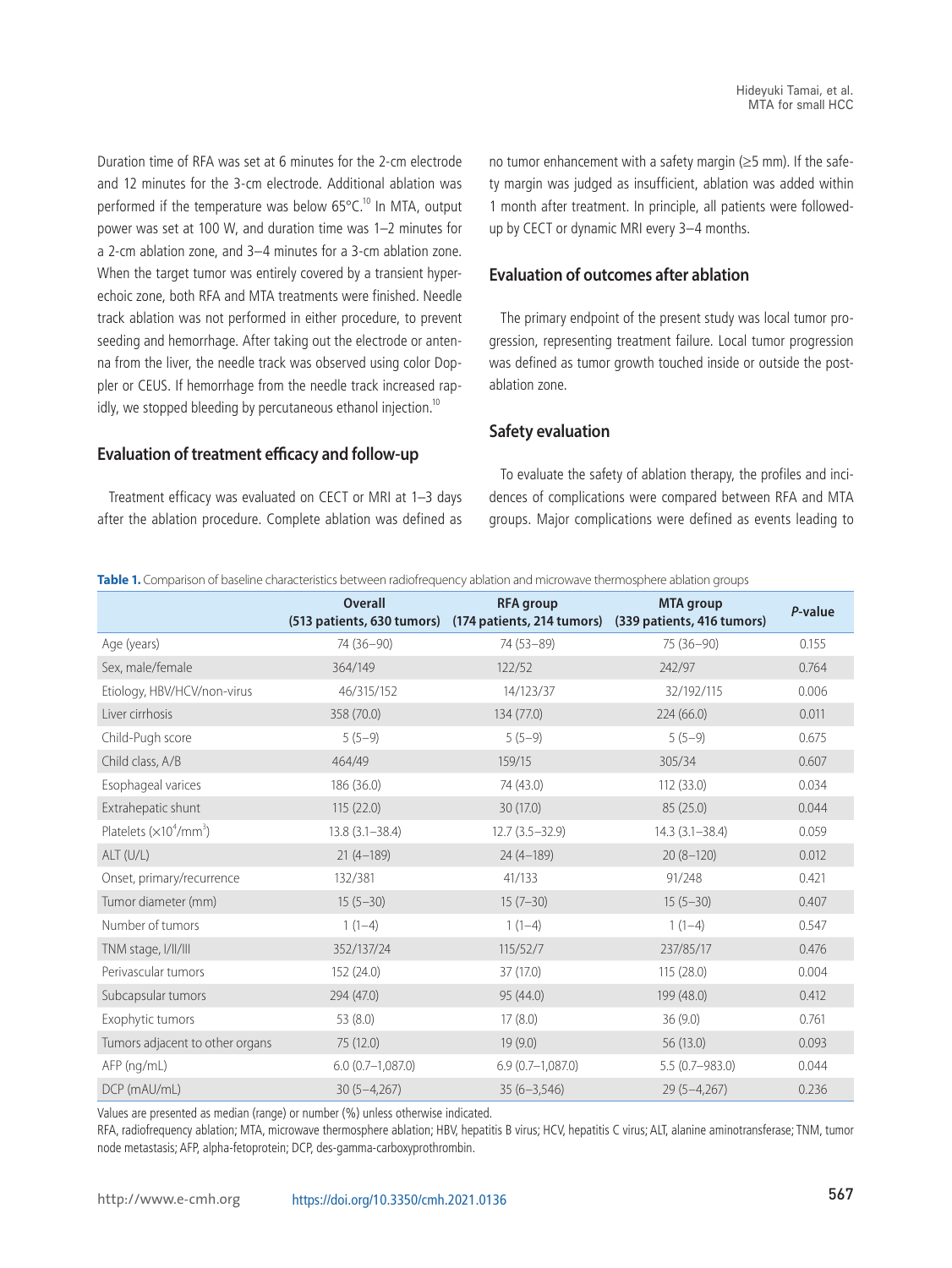Duration time of RFA was set at 6 minutes for the 2-cm electrode and 12 minutes for the 3-cm electrode. Additional ablation was performed if the temperature was below  $65^{\circ}$ C.<sup>10</sup> In MTA, output power was set at 100 W, and duration time was 1–2 minutes for a 2-cm ablation zone, and 3–4 minutes for a 3-cm ablation zone. When the target tumor was entirely covered by a transient hyperechoic zone, both RFA and MTA treatments were finished. Needle track ablation was not performed in either procedure, to prevent seeding and hemorrhage. After taking out the electrode or antenna from the liver, the needle track was observed using color Doppler or CEUS. If hemorrhage from the needle track increased rapidly, we stopped bleeding by percutaneous ethanol injection.<sup>10</sup>

#### **Evaluation of treatment efficacy and follow-up**

Treatment efficacy was evaluated on CECT or MRI at 1–3 days after the ablation procedure. Complete ablation was defined as no tumor enhancement with a safety margin (≥5 mm). If the safety margin was judged as insufficient, ablation was added within 1 month after treatment. In principle, all patients were followedup by CECT or dynamic MRI every 3–4 months.

#### **Evaluation of outcomes after ablation**

The primary endpoint of the present study was local tumor progression, representing treatment failure. Local tumor progression was defined as tumor growth touched inside or outside the postablation zone.

#### **Safety evaluation**

To evaluate the safety of ablation therapy, the profiles and incidences of complications were compared between RFA and MTA groups. Major complications were defined as events leading to

|  |  | Table 1. Comparison of baseline characteristics between radiofrequency ablation and microwave thermosphere ablation groups |  |  |  |  |  |
|--|--|----------------------------------------------------------------------------------------------------------------------------|--|--|--|--|--|
|  |  |                                                                                                                            |  |  |  |  |  |

|                                 | <b>Overall</b>     | <b>RFA</b> group<br>(513 patients, 630 tumors) (174 patients, 214 tumors) (339 patients, 416 tumors) | <b>MTA</b> group   | P-value |
|---------------------------------|--------------------|------------------------------------------------------------------------------------------------------|--------------------|---------|
| Age (years)                     | 74 (36-90)         | 74 (53-89)                                                                                           | 75 (36-90)         | 0.155   |
| Sex, male/female                | 364/149            | 122/52                                                                                               | 242/97             | 0.764   |
| Etiology, HBV/HCV/non-virus     | 46/315/152         | 14/123/37                                                                                            | 32/192/115         | 0.006   |
| Liver cirrhosis                 | 358 (70.0)         | 134 (77.0)                                                                                           | 224 (66.0)         | 0.011   |
| Child-Pugh score                | $5(5-9)$           | $5(5-9)$                                                                                             | $5(5-9)$           | 0.675   |
| Child class, A/B                | 464/49             | 159/15                                                                                               | 305/34             | 0.607   |
| Esophageal varices              | 186 (36.0)         | 74 (43.0)                                                                                            | 112 (33.0)         | 0.034   |
| Extrahepatic shunt              | 115 (22.0)         | 30 (17.0)                                                                                            | 85 (25.0)          | 0.044   |
| Platelets $(x10^4/\text{mm}^3)$ | $13.8(3.1 - 38.4)$ | $12.7(3.5-32.9)$                                                                                     | $14.3(3.1 - 38.4)$ | 0.059   |
| ALT (U/L)                       | $21(4-189)$        | $24(4-189)$                                                                                          | $20(8-120)$        | 0.012   |
| Onset, primary/recurrence       | 132/381            | 41/133                                                                                               | 91/248             | 0.421   |
| Tumor diameter (mm)             | $15(5-30)$         | $15(7-30)$                                                                                           | $15(5-30)$         | 0.407   |
| Number of tumors                | $1(1-4)$           | $1(1-4)$                                                                                             | $1(1-4)$           | 0.547   |
| TNM stage, I/II/III             | 352/137/24         | 115/52/7                                                                                             | 237/85/17          | 0.476   |
| Perivascular tumors             | 152 (24.0)         | 37(17.0)                                                                                             | 115 (28.0)         | 0.004   |
| Subcapsular tumors              | 294 (47.0)         | 95 (44.0)                                                                                            | 199 (48.0)         | 0.412   |
| Exophytic tumors                | 53 (8.0)           | 17(8.0)                                                                                              | 36(9.0)            | 0.761   |
| Tumors adjacent to other organs | 75 (12.0)          | 19(9.0)                                                                                              | 56(13.0)           | 0.093   |
| AFP (ng/mL)                     | $6.0(0.7-1.087.0)$ | $6.9(0.7-1.087.0)$                                                                                   | $5.5(0.7 - 983.0)$ | 0.044   |
| DCP (mAU/mL)                    | $30(5-4,267)$      | $35(6 - 3.546)$                                                                                      | $29(5 - 4, 267)$   | 0.236   |

Values are presented as median (range) or number (%) unless otherwise indicated.

RFA, radiofrequency ablation; MTA, microwave thermosphere ablation; HBV, hepatitis B virus; HCV, hepatitis C virus; ALT, alanine aminotransferase; TNM, tumor node metastasis; AFP, alpha-fetoprotein; DCP, des-gamma-carboxyprothrombin.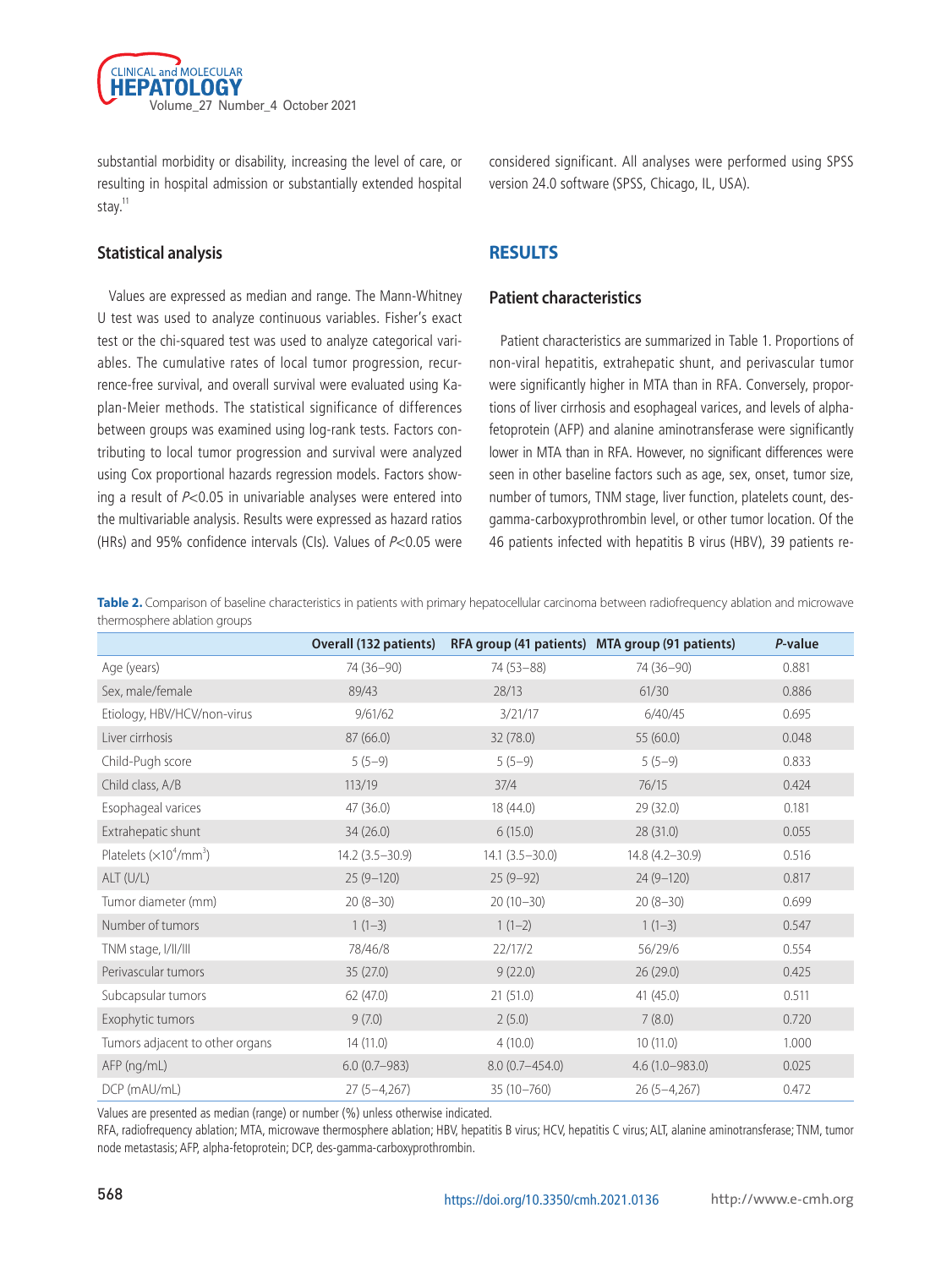

substantial morbidity or disability, increasing the level of care, or resulting in hospital admission or substantially extended hospital stay.<sup>11</sup>

#### **Statistical analysis**

Values are expressed as median and range. The Mann-Whitney U test was used to analyze continuous variables. Fisher's exact test or the chi-squared test was used to analyze categorical variables. The cumulative rates of local tumor progression, recurrence-free survival, and overall survival were evaluated using Kaplan-Meier methods. The statistical significance of differences between groups was examined using log-rank tests. Factors contributing to local tumor progression and survival were analyzed using Cox proportional hazards regression models. Factors showing a result of  $P<0.05$  in univariable analyses were entered into the multivariable analysis. Results were expressed as hazard ratios (HRs) and 95% confidence intervals (CIs). Values of  $P<0.05$  were

considered significant. All analyses were performed using SPSS version 24.0 software (SPSS, Chicago, IL, USA).

## **RESULTS**

#### **Patient characteristics**

Patient characteristics are summarized in Table 1. Proportions of non-viral hepatitis, extrahepatic shunt, and perivascular tumor were significantly higher in MTA than in RFA. Conversely, proportions of liver cirrhosis and esophageal varices, and levels of alphafetoprotein (AFP) and alanine aminotransferase were significantly lower in MTA than in RFA. However, no significant differences were seen in other baseline factors such as age, sex, onset, tumor size, number of tumors, TNM stage, liver function, platelets count, desgamma-carboxyprothrombin level, or other tumor location. Of the 46 patients infected with hepatitis B virus (HBV), 39 patients re-

**Table 2.** Comparison of baseline characteristics in patients with primary hepatocellular carcinoma between radiofrequency ablation and microwave thermosphere ablation groups

|                                 | Overall (132 patients) |                     | RFA group (41 patients) MTA group (91 patients) | P-value |
|---------------------------------|------------------------|---------------------|-------------------------------------------------|---------|
| Age (years)                     | 74 (36-90)             | 74 (53-88)          | 74 (36-90)                                      | 0.881   |
| Sex, male/female                | 89/43                  | 28/13               | 61/30                                           | 0.886   |
| Etiology, HBV/HCV/non-virus     | 9/61/62                | 3/21/17             | 6/40/45                                         | 0.695   |
| Liver cirrhosis                 | 87(66.0)               | 32 (78.0)           | 55 (60.0)                                       | 0.048   |
| Child-Pugh score                | $5(5-9)$               | $5(5-9)$            | $5(5-9)$                                        | 0.833   |
| Child class, A/B                | 113/19                 | 37/4                | 76/15                                           | 0.424   |
| Esophageal varices              | 47 (36.0)              | 18 (44.0)           | 29 (32.0)                                       | 0.181   |
| Extrahepatic shunt              | 34(26.0)               | 6(15.0)             | 28(31.0)                                        | 0.055   |
| Platelets $(x10^4/\text{mm}^3)$ | $14.2(3.5 - 30.9)$     | $14.1 (3.5 - 30.0)$ | 14.8 (4.2-30.9)                                 | 0.516   |
| ALT(U/L)                        | $25(9-120)$            | $25(9-92)$          | $24(9-120)$                                     | 0.817   |
| Tumor diameter (mm)             | $20(8-30)$             | $20(10-30)$         | $20(8-30)$                                      | 0.699   |
| Number of tumors                | $1(1-3)$               | $1(1-2)$            | $1(1-3)$                                        | 0.547   |
| TNM stage, I/II/III             | 78/46/8                | 22/17/2             | 56/29/6                                         | 0.554   |
| Perivascular tumors             | 35 (27.0)              | 9(22.0)             | 26(29.0)                                        | 0.425   |
| Subcapsular tumors              | 62 (47.0)              | 21(51.0)            | 41(45.0)                                        | 0.511   |
| Exophytic tumors                | 9(7.0)                 | 2(5.0)              | 7(8.0)                                          | 0.720   |
| Tumors adjacent to other organs | 14(11.0)               | 4(10.0)             | 10(11.0)                                        | 1.000   |
| AFP (ng/mL)                     | $6.0(0.7 - 983)$       | $8.0(0.7 - 454.0)$  | $4.6(1.0 - 983.0)$                              | 0.025   |
| DCP (mAU/mL)                    | $27(5-4,267)$          | $35(10 - 760)$      | $26(5-4,267)$                                   | 0.472   |

Values are presented as median (range) or number (%) unless otherwise indicated.

RFA, radiofrequency ablation; MTA, microwave thermosphere ablation; HBV, hepatitis B virus; HCV, hepatitis C virus; ALT, alanine aminotransferase; TNM, tumor node metastasis; AFP, alpha-fetoprotein; DCP, des-gamma-carboxyprothrombin.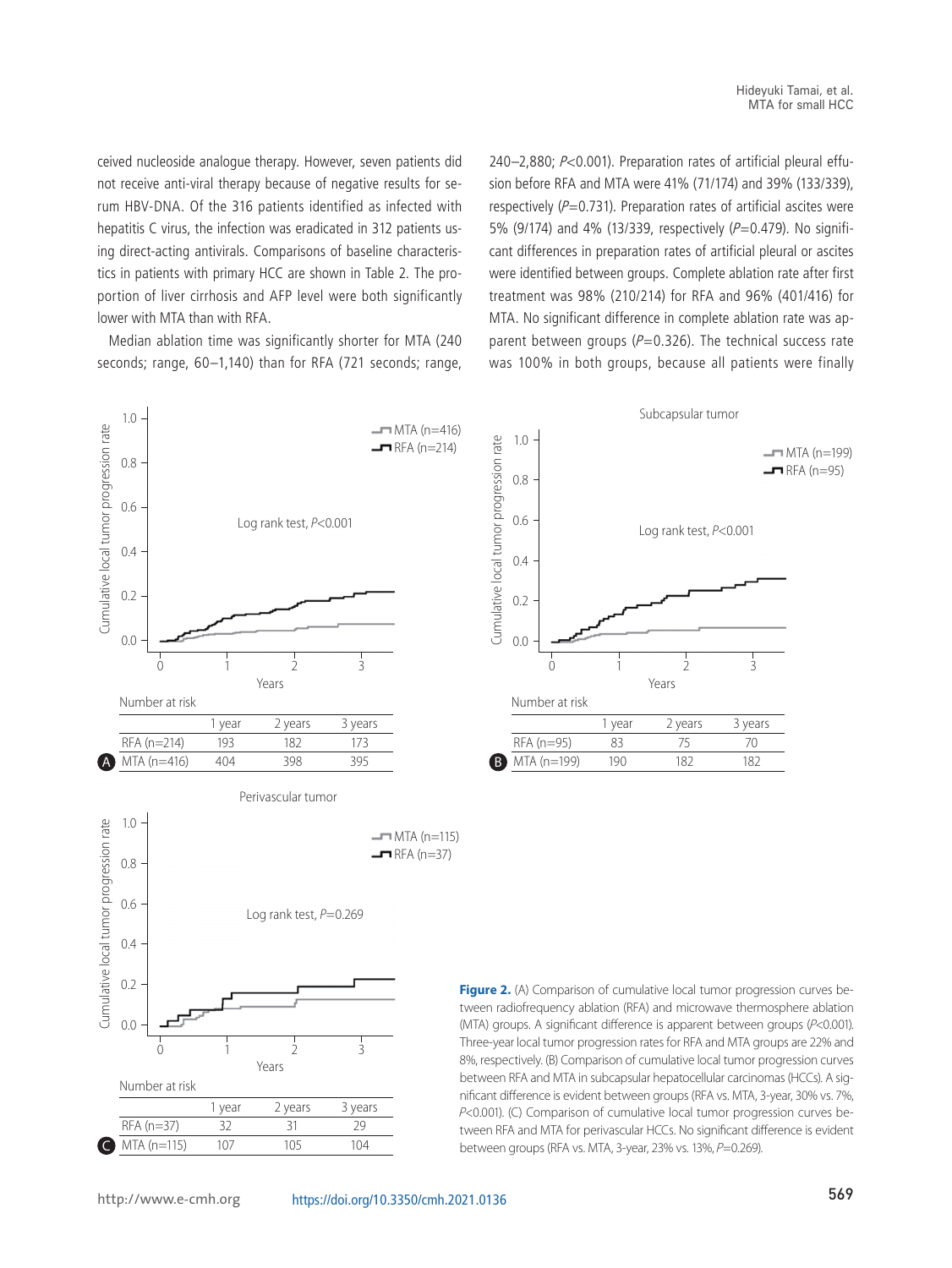ceived nucleoside analogue therapy. However, seven patients did not receive anti-viral therapy because of negative results for serum HBV-DNA. Of the 316 patients identified as infected with hepatitis C virus, the infection was eradicated in 312 patients using direct-acting antivirals. Comparisons of baseline characteristics in patients with primary HCC are shown in Table 2. The proportion of liver cirrhosis and AFP level were both significantly lower with MTA than with RFA.

Median ablation time was significantly shorter for MTA (240 seconds; range, 60–1,140) than for RFA (721 seconds; range,

240–2,880; P<0.001). Preparation rates of artificial pleural effusion before RFA and MTA were 41% (71/174) and 39% (133/339), respectively ( $P=0.731$ ). Preparation rates of artificial ascites were 5% (9/174) and 4% (13/339, respectively  $(P=0.479)$ . No significant differences in preparation rates of artificial pleural or ascites were identified between groups. Complete ablation rate after first treatment was 98% (210/214) for RFA and 96% (401/416) for MTA. No significant difference in complete ablation rate was apparent between groups ( $P=0.326$ ). The technical success rate was 100% in both groups, because all patients were finally





**Figure 2.** (A) Comparison of cumulative local tumor progression curves between radiofrequency ablation (RFA) and microwave thermosphere ablation (MTA) groups. A significant difference is apparent between groups (P<0.001). Three-year local tumor progression rates for RFA and MTA groups are 22% and 8%, respectively. (B) Comparison of cumulative local tumor progression curves between RFA and MTA in subcapsular hepatocellular carcinomas (HCCs). A significant difference is evident between groups (RFA vs. MTA, 3-year, 30% vs. 7%, P<0.001). (C) Comparison of cumulative local tumor progression curves between RFA and MTA for perivascular HCCs. No significant difference is evident between groups (RFA vs. MTA, 3-year, 23% vs. 13%, P=0.269).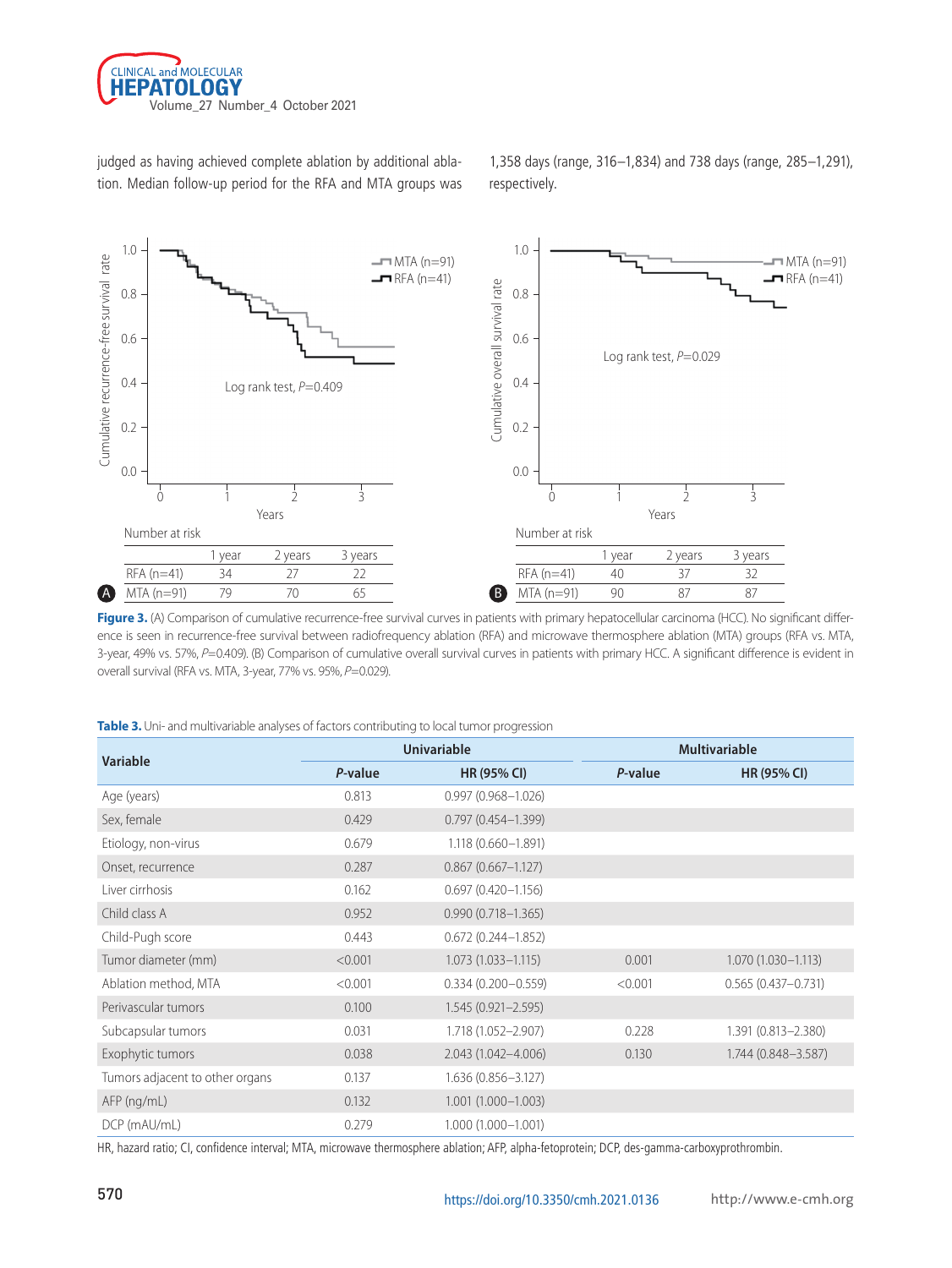

judged as having achieved complete ablation by additional ablation. Median follow-up period for the RFA and MTA groups was

1,358 days (range, 316–1,834) and 738 days (range, 285–1,291), respectively.



Figure 3. (A) Comparison of cumulative recurrence-free survival curves in patients with primary hepatocellular carcinoma (HCC). No significant difference is seen in recurrence-free survival between radiofrequency ablation (RFA) and microwave thermosphere ablation (MTA) groups (RFA vs. MTA, 3-year, 49% vs. 57%, P=0.409). (B) Comparison of cumulative overall survival curves in patients with primary HCC. A significant difference is evident in overall survival (RFA vs. MTA, 3-year, 77% vs. 95%, P=0.029).

|  |  |  | Table 3. Uni- and multivariable analyses of factors contributing to local tumor progression |
|--|--|--|---------------------------------------------------------------------------------------------|
|  |  |  |                                                                                             |

| <b>Variable</b>                 |         | <b>Univariable</b>     | <b>Multivariable</b> |                        |  |
|---------------------------------|---------|------------------------|----------------------|------------------------|--|
|                                 | P-value | <b>HR (95% CI)</b>     | P-value              | <b>HR (95% CI)</b>     |  |
| Age (years)                     | 0.813   | $0.997(0.968 - 1.026)$ |                      |                        |  |
| Sex, female                     | 0.429   | $0.797(0.454 - 1.399)$ |                      |                        |  |
| Etiology, non-virus             | 0.679   | 1.118 (0.660-1.891)    |                      |                        |  |
| Onset, recurrence               | 0.287   | $0.867(0.667 - 1.127)$ |                      |                        |  |
| Liver cirrhosis                 | 0.162   | $0.697(0.420 - 1.156)$ |                      |                        |  |
| Child class A                   | 0.952   | $0.990(0.718 - 1.365)$ |                      |                        |  |
| Child-Pugh score                | 0.443   | $0.672(0.244 - 1.852)$ |                      |                        |  |
| Tumor diameter (mm)             | < 0.001 | $1.073(1.033 - 1.115)$ | 0.001                | $1.070(1.030 - 1.113)$ |  |
| Ablation method, MTA            | < 0.001 | $0.334(0.200 - 0.559)$ | < 0.001              | $0.565(0.437 - 0.731)$ |  |
| Perivascular tumors             | 0.100   | $1.545(0.921 - 2.595)$ |                      |                        |  |
| Subcapsular tumors              | 0.031   | 1.718 (1.052-2.907)    | 0.228                | 1.391 (0.813-2.380)    |  |
| Exophytic tumors                | 0.038   | 2.043 (1.042-4.006)    | 0.130                | 1.744 (0.848-3.587)    |  |
| Tumors adjacent to other organs | 0.137   | $1.636(0.856 - 3.127)$ |                      |                        |  |
| $AFP$ (ng/mL)                   | 0.132   | $1.001(1.000 - 1.003)$ |                      |                        |  |
| DCP (mAU/mL)                    | 0.279   | $1.000(1.000 - 1.001)$ |                      |                        |  |

HR, hazard ratio; CI, confidence interval; MTA, microwave thermosphere ablation; AFP, alpha-fetoprotein; DCP, des-gamma-carboxyprothrombin.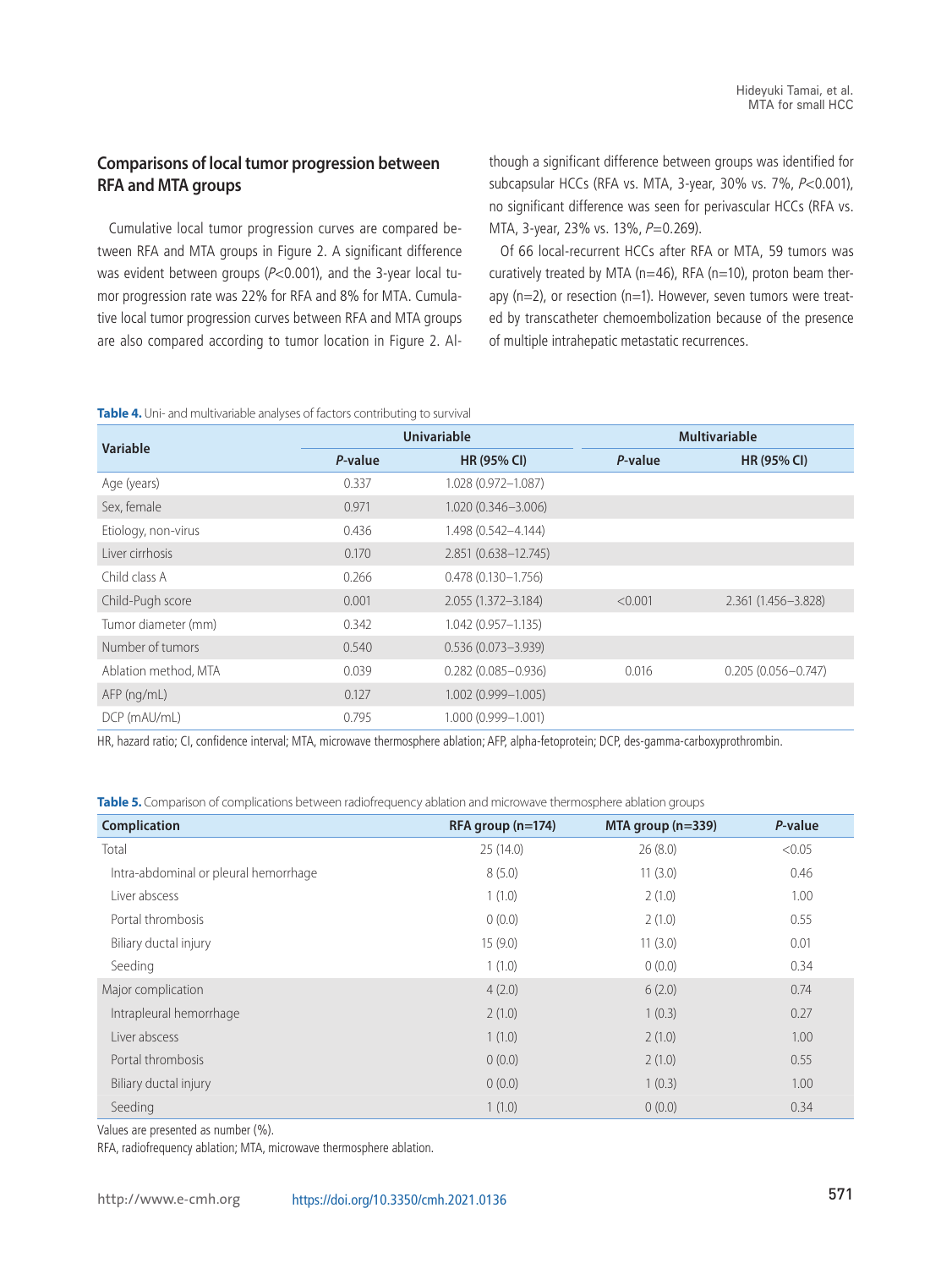# **Comparisons of local tumor progression between RFA and MTA groups**

Cumulative local tumor progression curves are compared between RFA and MTA groups in Figure 2. A significant difference was evident between groups ( $P<0.001$ ), and the 3-year local tumor progression rate was 22% for RFA and 8% for MTA. Cumulative local tumor progression curves between RFA and MTA groups are also compared according to tumor location in Figure 2. Although a significant difference between groups was identified for subcapsular HCCs (RFA vs. MTA, 3-year, 30% vs. 7%, P<0.001), no significant difference was seen for perivascular HCCs (RFA vs. MTA, 3-year, 23% vs. 13%, P=0.269).

Of 66 local-recurrent HCCs after RFA or MTA, 59 tumors was curatively treated by MTA ( $n=46$ ), RFA ( $n=10$ ), proton beam therapy ( $n=2$ ), or resection ( $n=1$ ). However, seven tumors were treated by transcatheter chemoembolization because of the presence of multiple intrahepatic metastatic recurrences.

**Table 4.** Uni- and multivariable analyses of factors contributing to survival

| Variable             |         | <b>Univariable</b>     | <b>Multivariable</b> |                        |  |
|----------------------|---------|------------------------|----------------------|------------------------|--|
|                      | P-value | <b>HR (95% CI)</b>     | P-value              | <b>HR (95% CI)</b>     |  |
| Age (years)          | 0.337   | 1.028 (0.972-1.087)    |                      |                        |  |
| Sex, female          | 0.971   | $1.020(0.346 - 3.006)$ |                      |                        |  |
| Etiology, non-virus  | 0.436   | 1.498 (0.542-4.144)    |                      |                        |  |
| Liver cirrhosis      | 0.170   | 2.851 (0.638-12.745)   |                      |                        |  |
| Child class A        | 0.266   | $0.478(0.130 - 1.756)$ |                      |                        |  |
| Child-Pugh score     | 0.001   | 2.055 (1.372-3.184)    | < 0.001              | 2.361 (1.456-3.828)    |  |
| Tumor diameter (mm)  | 0.342   | 1.042 (0.957-1.135)    |                      |                        |  |
| Number of tumors     | 0.540   | $0.536(0.073 - 3.939)$ |                      |                        |  |
| Ablation method, MTA | 0.039   | $0.282(0.085 - 0.936)$ | 0.016                | $0.205(0.056 - 0.747)$ |  |
| AFP (ng/mL)          | 0.127   | $1.002(0.999 - 1.005)$ |                      |                        |  |
| DCP (mAU/mL)         | 0.795   | 1.000 (0.999-1.001)    |                      |                        |  |

HR, hazard ratio; CI, confidence interval; MTA, microwave thermosphere ablation; AFP, alpha-fetoprotein; DCP, des-gamma-carboxyprothrombin.

**Table 5.** Comparison of complications between radiofrequency ablation and microwave thermosphere ablation groups

| Complication                          | RFA group (n=174) | MTA group $(n=339)$ | P-value |
|---------------------------------------|-------------------|---------------------|---------|
| Total                                 | 25(14.0)          | 26(8.0)             | < 0.05  |
| Intra-abdominal or pleural hemorrhage | 8(5.0)            | 11(3.0)             | 0.46    |
| Liver abscess                         | 1(1.0)            | 2(1.0)              | 1.00    |
| Portal thrombosis                     | 0(0.0)            | 2(1.0)              | 0.55    |
| Biliary ductal injury                 | 15(9.0)           | 11(3.0)             | 0.01    |
| Seeding                               | 1(1.0)            | 0(0.0)              | 0.34    |
| Major complication                    | 4(2.0)            | 6(2.0)              | 0.74    |
| Intrapleural hemorrhage               | 2(1.0)            | 1(0.3)              | 0.27    |
| Liver abscess                         | 1(1.0)            | 2(1.0)              | 1.00    |
| Portal thrombosis                     | 0(0.0)            | 2(1.0)              | 0.55    |
| Biliary ductal injury                 | 0(0.0)            | 1(0.3)              | 1.00    |
| Seeding                               | 1(1.0)            | 0(0.0)              | 0.34    |

Values are presented as number (%).

RFA, radiofrequency ablation; MTA, microwave thermosphere ablation.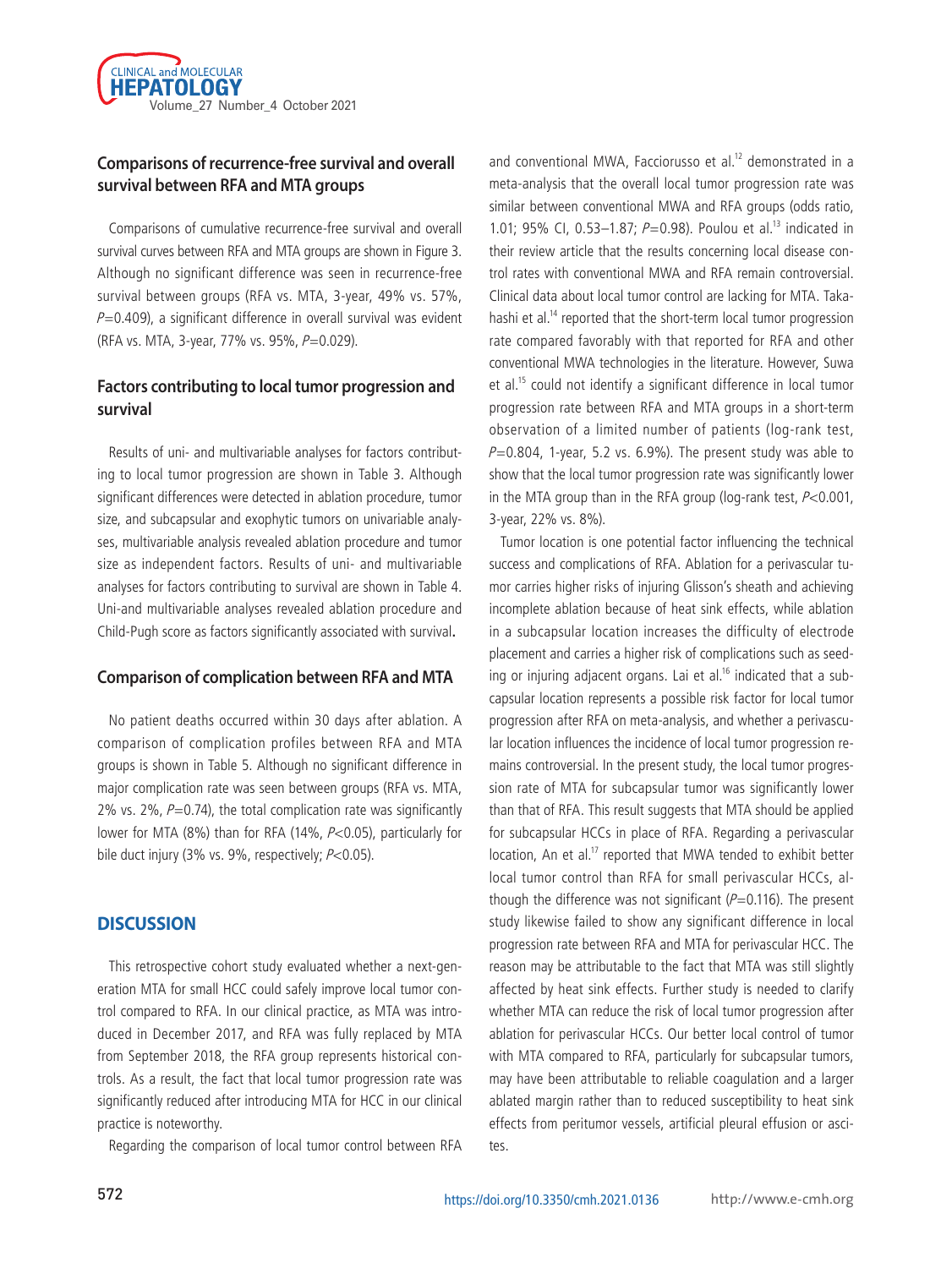

# **Comparisons of recurrence-free survival and overall survival between RFA and MTA groups**

Comparisons of cumulative recurrence-free survival and overall survival curves between RFA and MTA groups are shown in Figure 3. Although no significant difference was seen in recurrence-free survival between groups (RFA vs. MTA, 3-year, 49% vs. 57%,  $P=0.409$ ), a significant difference in overall survival was evident (RFA vs. MTA, 3-year, 77% vs. 95%,  $P=0.029$ ).

# **Factors contributing to local tumor progression and survival**

Results of uni- and multivariable analyses for factors contributing to local tumor progression are shown in Table 3. Although significant differences were detected in ablation procedure, tumor size, and subcapsular and exophytic tumors on univariable analyses, multivariable analysis revealed ablation procedure and tumor size as independent factors. Results of uni- and multivariable analyses for factors contributing to survival are shown in Table 4. Uni-and multivariable analyses revealed ablation procedure and Child-Pugh score as factors significantly associated with survival**.**

#### **Comparison of complication between RFA and MTA**

No patient deaths occurred within 30 days after ablation. A comparison of complication profiles between RFA and MTA groups is shown in Table 5. Although no significant difference in major complication rate was seen between groups (RFA vs. MTA, 2% vs. 2%,  $P=0.74$ ), the total complication rate was significantly lower for MTA (8%) than for RFA (14%, P<0.05), particularly for bile duct injury (3% vs. 9%, respectively;  $P<0.05$ ).

#### **DISCUSSION**

This retrospective cohort study evaluated whether a next-generation MTA for small HCC could safely improve local tumor control compared to RFA. In our clinical practice, as MTA was introduced in December 2017, and RFA was fully replaced by MTA from September 2018, the RFA group represents historical controls. As a result, the fact that local tumor progression rate was significantly reduced after introducing MTA for HCC in our clinical practice is noteworthy.

Regarding the comparison of local tumor control between RFA

and conventional MWA, Facciorusso et al. $12$  demonstrated in a meta-analysis that the overall local tumor progression rate was similar between conventional MWA and RFA groups (odds ratio, 1.01; 95% CI, 0.53-1.87;  $P=0.98$ ). Poulou et al.<sup>13</sup> indicated in their review article that the results concerning local disease control rates with conventional MWA and RFA remain controversial. Clinical data about local tumor control are lacking for MTA. Takahashi et al.<sup>14</sup> reported that the short-term local tumor progression rate compared favorably with that reported for RFA and other conventional MWA technologies in the literature. However, Suwa et al.<sup>15</sup> could not identify a significant difference in local tumor progression rate between RFA and MTA groups in a short-term observation of a limited number of patients (log-rank test,  $P=0.804$ , 1-year, 5.2 vs. 6.9%). The present study was able to show that the local tumor progression rate was significantly lower in the MTA group than in the RFA group (log-rank test,  $P<0.001$ , 3-year, 22% vs. 8%).

Tumor location is one potential factor influencing the technical success and complications of RFA. Ablation for a perivascular tumor carries higher risks of injuring Glisson's sheath and achieving incomplete ablation because of heat sink effects, while ablation in a subcapsular location increases the difficulty of electrode placement and carries a higher risk of complications such as seeding or injuring adjacent organs. Lai et al.<sup>16</sup> indicated that a subcapsular location represents a possible risk factor for local tumor progression after RFA on meta-analysis, and whether a perivascular location influences the incidence of local tumor progression remains controversial. In the present study, the local tumor progression rate of MTA for subcapsular tumor was significantly lower than that of RFA. This result suggests that MTA should be applied for subcapsular HCCs in place of RFA. Regarding a perivascular location, An et al.<sup>17</sup> reported that MWA tended to exhibit better local tumor control than RFA for small perivascular HCCs, although the difference was not significant  $(P=0.116)$ . The present study likewise failed to show any significant difference in local progression rate between RFA and MTA for perivascular HCC. The reason may be attributable to the fact that MTA was still slightly affected by heat sink effects. Further study is needed to clarify whether MTA can reduce the risk of local tumor progression after ablation for perivascular HCCs. Our better local control of tumor with MTA compared to RFA, particularly for subcapsular tumors, may have been attributable to reliable coagulation and a larger ablated margin rather than to reduced susceptibility to heat sink effects from peritumor vessels, artificial pleural effusion or ascites.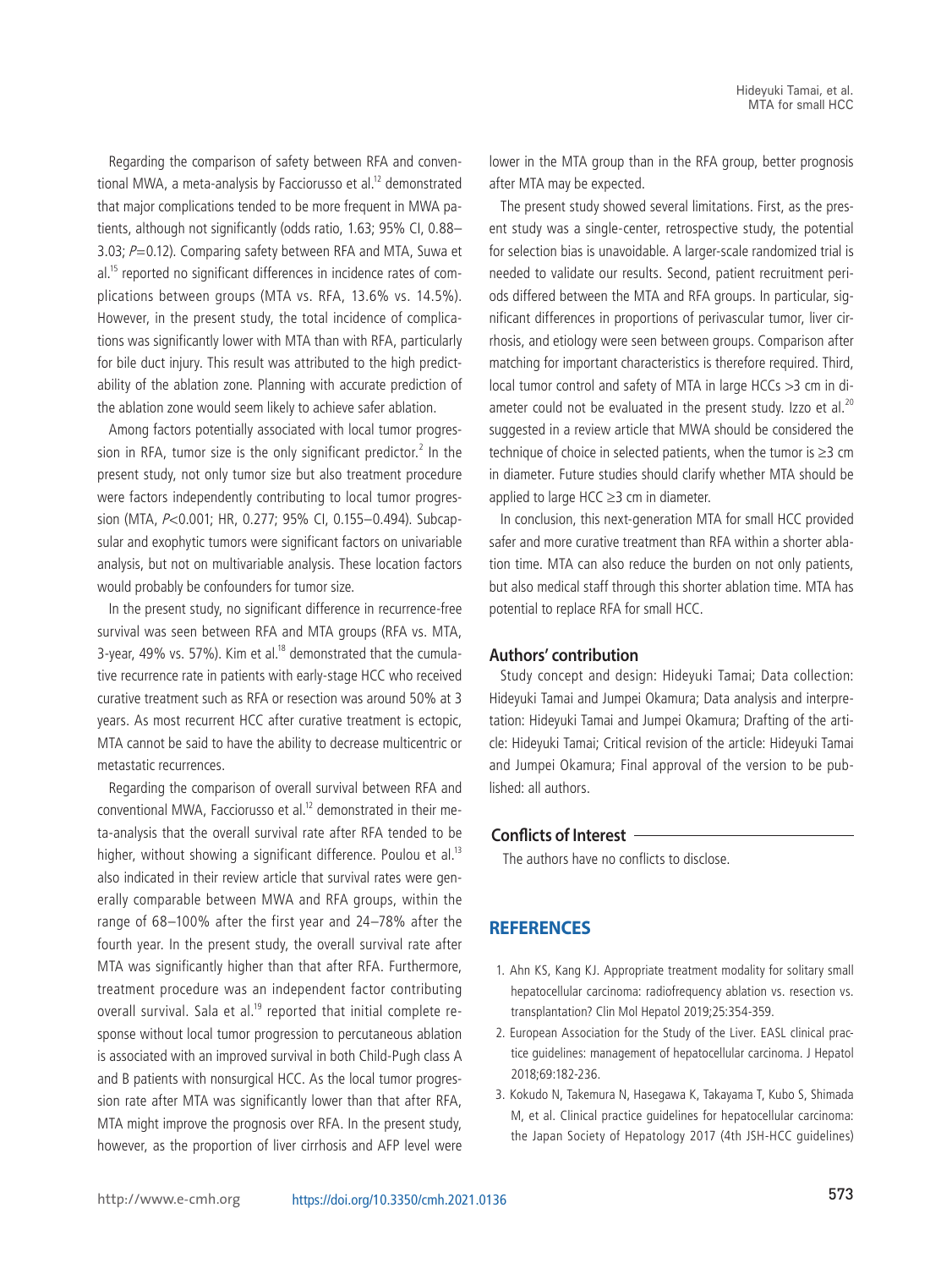Regarding the comparison of safety between RFA and conventional MWA, a meta-analysis by Facciorusso et al.<sup>12</sup> demonstrated that major complications tended to be more frequent in MWA patients, although not significantly (odds ratio, 1.63; 95% CI, 0.88– 3.03;  $P=0.12$ ). Comparing safety between RFA and MTA, Suwa et al.<sup>15</sup> reported no significant differences in incidence rates of complications between groups (MTA vs. RFA, 13.6% vs. 14.5%). However, in the present study, the total incidence of complications was significantly lower with MTA than with RFA, particularly for bile duct injury. This result was attributed to the high predictability of the ablation zone. Planning with accurate prediction of the ablation zone would seem likely to achieve safer ablation.

Among factors potentially associated with local tumor progression in RFA, tumor size is the only significant predictor. $^2$  In the present study, not only tumor size but also treatment procedure were factors independently contributing to local tumor progression (MTA, P<0.001; HR, 0.277; 95% CI, 0.155–0.494). Subcapsular and exophytic tumors were significant factors on univariable analysis, but not on multivariable analysis. These location factors would probably be confounders for tumor size.

In the present study, no significant difference in recurrence-free survival was seen between RFA and MTA groups (RFA vs. MTA, 3-year, 49% vs. 57%). Kim et al. $18$  demonstrated that the cumulative recurrence rate in patients with early-stage HCC who received curative treatment such as RFA or resection was around 50% at 3 years. As most recurrent HCC after curative treatment is ectopic, MTA cannot be said to have the ability to decrease multicentric or metastatic recurrences.

Regarding the comparison of overall survival between RFA and conventional MWA, Facciorusso et al.<sup>12</sup> demonstrated in their meta-analysis that the overall survival rate after RFA tended to be higher, without showing a significant difference. Poulou et al.<sup>13</sup> also indicated in their review article that survival rates were generally comparable between MWA and RFA groups, within the range of 68–100% after the first year and 24–78% after the fourth year. In the present study, the overall survival rate after MTA was significantly higher than that after RFA. Furthermore, treatment procedure was an independent factor contributing overall survival. Sala et al.<sup>19</sup> reported that initial complete response without local tumor progression to percutaneous ablation is associated with an improved survival in both Child-Pugh class A and B patients with nonsurgical HCC. As the local tumor progression rate after MTA was significantly lower than that after RFA, MTA might improve the prognosis over RFA. In the present study, however, as the proportion of liver cirrhosis and AFP level were

lower in the MTA group than in the RFA group, better prognosis after MTA may be expected.

The present study showed several limitations. First, as the present study was a single-center, retrospective study, the potential for selection bias is unavoidable. A larger-scale randomized trial is needed to validate our results. Second, patient recruitment periods differed between the MTA and RFA groups. In particular, significant differences in proportions of perivascular tumor, liver cirrhosis, and etiology were seen between groups. Comparison after matching for important characteristics is therefore required. Third, local tumor control and safety of MTA in large HCCs >3 cm in diameter could not be evaluated in the present study. Izzo et al.<sup>20</sup> suggested in a review article that MWA should be considered the technique of choice in selected patients, when the tumor is  $\geq 3$  cm in diameter. Future studies should clarify whether MTA should be applied to large HCC ≥3 cm in diameter.

In conclusion, this next-generation MTA for small HCC provided safer and more curative treatment than RFA within a shorter ablation time. MTA can also reduce the burden on not only patients, but also medical staff through this shorter ablation time. MTA has potential to replace RFA for small HCC.

#### **Authors' contribution**

Study concept and design: Hideyuki Tamai; Data collection: Hideyuki Tamai and Jumpei Okamura; Data analysis and interpretation: Hideyuki Tamai and Jumpei Okamura; Drafting of the article: Hideyuki Tamai; Critical revision of the article: Hideyuki Tamai and Jumpei Okamura; Final approval of the version to be published: all authors.

#### **Conflicts of Interest**

The authors have no conflicts to disclose.

#### **REFERENCES**

- 1. Ahn KS, Kang KJ. Appropriate treatment modality for solitary small hepatocellular carcinoma: radiofrequency ablation vs. resection vs. transplantation? Clin Mol Hepatol 2019;25:354-359.
- 2. European Association for the Study of the Liver. EASL clinical practice guidelines: management of hepatocellular carcinoma. J Hepatol 2018;69:182-236.
- 3. Kokudo N, Takemura N, Hasegawa K, Takayama T, Kubo S, Shimada M, et al. Clinical practice guidelines for hepatocellular carcinoma: the Japan Society of Hepatology 2017 (4th JSH-HCC guidelines)